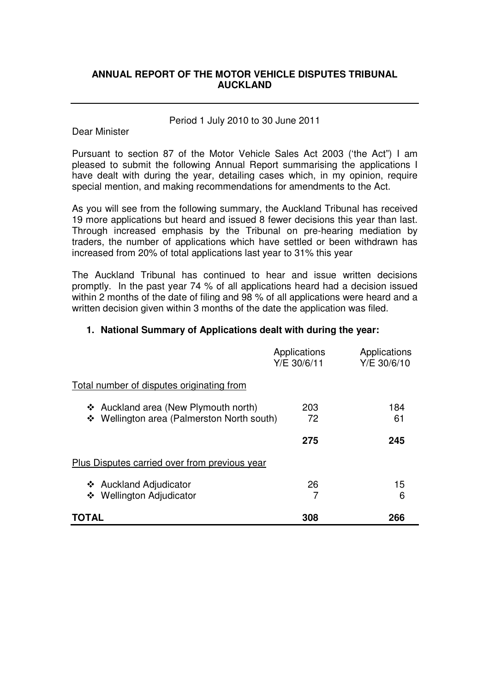# **ANNUAL REPORT OF THE MOTOR VEHICLE DISPUTES TRIBUNAL AUCKLAND**

## Period 1 July 2010 to 30 June 2011

# Dear Minister

 Pursuant to section 87 of the Motor Vehicle Sales Act 2003 ('the Act") I am pleased to submit the following Annual Report summarising the applications I have dealt with during the year, detailing cases which, in my opinion, require special mention, and making recommendations for amendments to the Act.

 As you will see from the following summary, the Auckland Tribunal has received 19 more applications but heard and issued 8 fewer decisions this year than last. Through increased emphasis by the Tribunal on pre-hearing mediation by traders, the number of applications which have settled or been withdrawn has increased from 20% of total applications last year to 31% this year

 The Auckland Tribunal has continued to hear and issue written decisions promptly. In the past year 74 % of all applications heard had a decision issued within 2 months of the date of filing and 98 % of all applications were heard and a written decision given within 3 months of the date the application was filed.

# **1. National Summary of Applications dealt with during the year:**

|                                                                                    | Applications<br>Y/E 30/6/11 | Applications<br>Y/E 30/6/10 |
|------------------------------------------------------------------------------------|-----------------------------|-----------------------------|
| Total number of disputes originating from                                          |                             |                             |
| ❖ Auckland area (New Plymouth north)<br>❖ Wellington area (Palmerston North south) | 203<br>72                   | 184<br>61                   |
|                                                                                    | 275                         | 245                         |
| Plus Disputes carried over from previous year                                      |                             |                             |
| ❖ Auckland Adjudicator<br>❖ Wellington Adjudicator                                 | 26                          | 15<br>6                     |
| TOTAL                                                                              | 308                         | 266                         |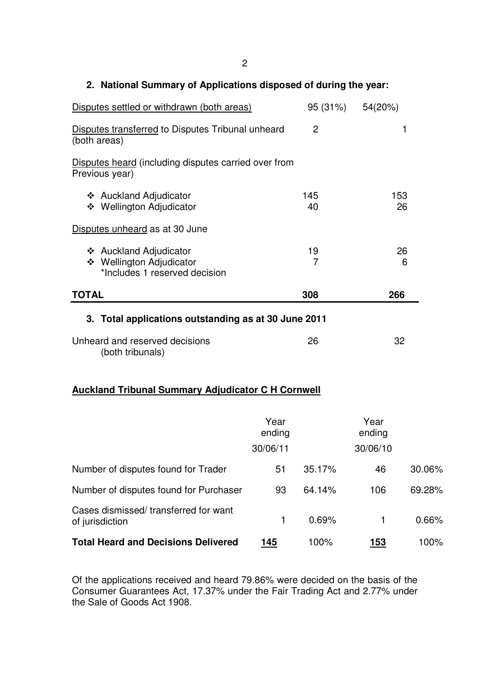## **2. National Summary of Applications disposed of during the year:**

| Disputes settled or withdrawn (both areas)                                          | 95 (31%) 54(20%) |           |  |  |  |
|-------------------------------------------------------------------------------------|------------------|-----------|--|--|--|
| Disputes transferred to Disputes Tribunal unheard<br>(both areas)                   | $\overline{2}$   | 1         |  |  |  |
| Disputes heard (including disputes carried over from<br>Previous year)              |                  |           |  |  |  |
| ❖ Auckland Adjudicator<br>❖ Wellington Adjudicator                                  | 145<br>40        | 153<br>26 |  |  |  |
| Disputes unheard as at 30 June                                                      |                  |           |  |  |  |
| ❖ Auckland Adjudicator<br>❖ Wellington Adjudicator<br>*Includes 1 reserved decision | 19<br>7          | 26<br>6   |  |  |  |
| <b>TOTAL</b>                                                                        | 308              | 266       |  |  |  |
| 3. Total applications outstanding as at 30 June 2011                                |                  |           |  |  |  |
| Unheard and reserved decisions<br>(both tribunals)                                  | 26               | 32        |  |  |  |

# **Auckland Tribunal Summary Adjudicator C H Cornwell**

|                                                         | Year<br>ending<br>30/06/11 |        | Year<br>ending<br>30/06/10 |        |
|---------------------------------------------------------|----------------------------|--------|----------------------------|--------|
| Number of disputes found for Trader                     | 51                         | 35.17% | 46                         | 30.06% |
| Number of disputes found for Purchaser                  | 93                         | 64.14% | 106                        | 69.28% |
| Cases dismissed/transferred for want<br>of jurisdiction |                            | 0.69%  |                            | 0.66%  |
| <b>Total Heard and Decisions Delivered</b>              | 145                        | 100%   | 153                        | 100%   |

 Of the applications received and heard 79.86% were decided on the basis of the Consumer Guarantees Act, 17.37% under the Fair Trading Act and 2.77% under the Sale of Goods Act 1908.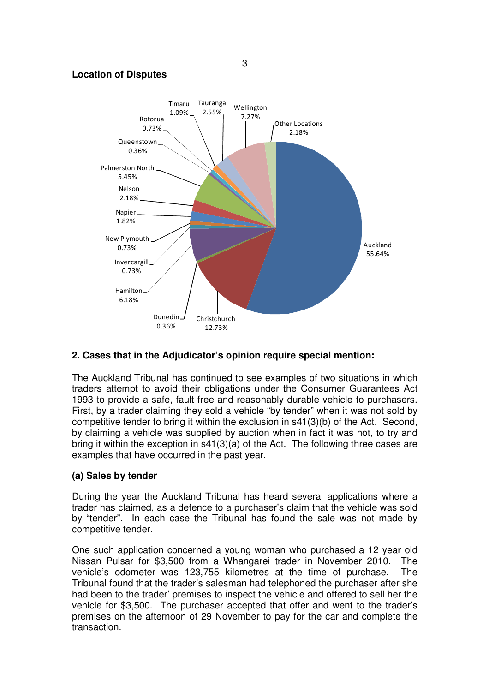#### **Location of Disputes**



# **2. Cases that in the Adjudicator's opinion require special mention:**

 The Auckland Tribunal has continued to see examples of two situations in which traders attempt to avoid their obligations under the Consumer Guarantees Act 1993 to provide a safe, fault free and reasonably durable vehicle to purchasers. First, by a trader claiming they sold a vehicle "by tender" when it was not sold by competitive tender to bring it within the exclusion in s41(3)(b) of the Act. Second, by claiming a vehicle was supplied by auction when in fact it was not, to try and bring it within the exception in s41(3)(a) of the Act. The following three cases are examples that have occurred in the past year.

# **(a) Sales by tender**

 During the year the Auckland Tribunal has heard several applications where a trader has claimed, as a defence to a purchaser's claim that the vehicle was sold by "tender". In each case the Tribunal has found the sale was not made by competitive tender.

 One such application concerned a young woman who purchased a 12 year old Nissan Pulsar for \$3,500 from a Whangarei trader in November 2010. The vehicle's odometer was 123,755 kilometres at the time of purchase. The Tribunal found that the trader's salesman had telephoned the purchaser after she had been to the trader' premises to inspect the vehicle and offered to sell her the vehicle for \$3,500. The purchaser accepted that offer and went to the trader's premises on the afternoon of 29 November to pay for the car and complete the transaction.

3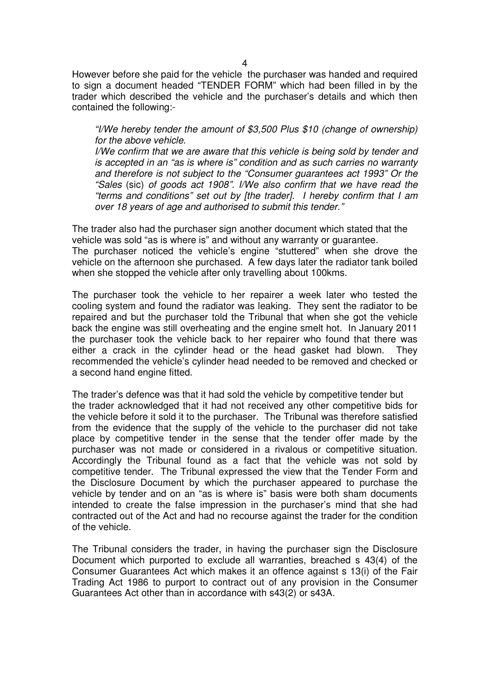However before she paid for the vehicle the purchaser was handed and required to sign a document headed "TENDER FORM" which had been filled in by the trader which described the vehicle and the purchaser's details and which then contained the following:

 "I/We hereby tender the amount of \$3,500 Plus \$10 (change of ownership) for the above vehicle.

 I/We confirm that we are aware that this vehicle is being sold by tender and is accepted in an "as is where is" condition and as such carries no warranty and therefore is not subject to the "Consumer guarantees act 1993" Or the "Sales (sic) of goods act 1908". I/We also confirm that we have read the "terms and conditions" set out by [the trader]. I hereby confirm that I am over 18 years of age and authorised to submit this tender."

 The trader also had the purchaser sign another document which stated that the vehicle was sold "as is where is" and without any warranty or guarantee.

 The purchaser noticed the vehicle's engine "stuttered" when she drove the vehicle on the afternoon she purchased. A few days later the radiator tank boiled when she stopped the vehicle after only travelling about 100kms.

 The purchaser took the vehicle to her repairer a week later who tested the cooling system and found the radiator was leaking. They sent the radiator to be repaired and but the purchaser told the Tribunal that when she got the vehicle back the engine was still overheating and the engine smelt hot. In January 2011 the purchaser took the vehicle back to her repairer who found that there was either a crack in the cylinder head or the head gasket had blown. They recommended the vehicle's cylinder head needed to be removed and checked or a second hand engine fitted.

 The trader's defence was that it had sold the vehicle by competitive tender but the trader acknowledged that it had not received any other competitive bids for the vehicle before it sold it to the purchaser. The Tribunal was therefore satisfied from the evidence that the supply of the vehicle to the purchaser did not take place by competitive tender in the sense that the tender offer made by the purchaser was not made or considered in a rivalous or competitive situation. Accordingly the Tribunal found as a fact that the vehicle was not sold by competitive tender. The Tribunal expressed the view that the Tender Form and the Disclosure Document by which the purchaser appeared to purchase the vehicle by tender and on an "as is where is" basis were both sham documents intended to create the false impression in the purchaser's mind that she had contracted out of the Act and had no recourse against the trader for the condition of the vehicle.

 The Tribunal considers the trader, in having the purchaser sign the Disclosure Document which purported to exclude all warranties, breached s 43(4) of the Consumer Guarantees Act which makes it an offence against s 13(i) of the Fair Trading Act 1986 to purport to contract out of any provision in the Consumer Guarantees Act other than in accordance with s43(2) or s43A.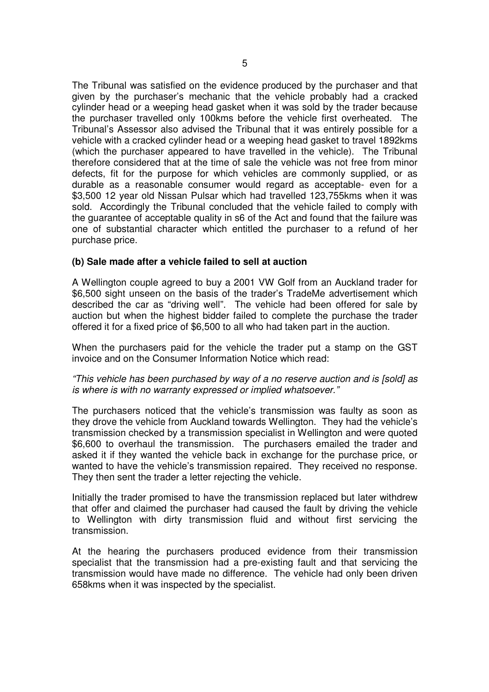The Tribunal was satisfied on the evidence produced by the purchaser and that given by the purchaser's mechanic that the vehicle probably had a cracked cylinder head or a weeping head gasket when it was sold by the trader because the purchaser travelled only 100kms before the vehicle first overheated. The Tribunal's Assessor also advised the Tribunal that it was entirely possible for a vehicle with a cracked cylinder head or a weeping head gasket to travel 1892kms (which the purchaser appeared to have travelled in the vehicle). The Tribunal therefore considered that at the time of sale the vehicle was not free from minor defects, fit for the purpose for which vehicles are commonly supplied, or as durable as a reasonable consumer would regard as acceptable- even for a \$3,500 12 year old Nissan Pulsar which had travelled 123,755kms when it was sold. Accordingly the Tribunal concluded that the vehicle failed to comply with the guarantee of acceptable quality in s6 of the Act and found that the failure was one of substantial character which entitled the purchaser to a refund of her purchase price.

## **(b) Sale made after a vehicle failed to sell at auction**

 A Wellington couple agreed to buy a 2001 VW Golf from an Auckland trader for \$6,500 sight unseen on the basis of the trader's TradeMe advertisement which described the car as "driving well". The vehicle had been offered for sale by auction but when the highest bidder failed to complete the purchase the trader offered it for a fixed price of \$6,500 to all who had taken part in the auction.

 When the purchasers paid for the vehicle the trader put a stamp on the GST invoice and on the Consumer Information Notice which read:

 "This vehicle has been purchased by way of a no reserve auction and is [sold] as is where is with no warranty expressed or implied whatsoever."

 The purchasers noticed that the vehicle's transmission was faulty as soon as they drove the vehicle from Auckland towards Wellington. They had the vehicle's transmission checked by a transmission specialist in Wellington and were quoted \$6,600 to overhaul the transmission. The purchasers emailed the trader and asked it if they wanted the vehicle back in exchange for the purchase price, or wanted to have the vehicle's transmission repaired. They received no response. They then sent the trader a letter rejecting the vehicle.

 Initially the trader promised to have the transmission replaced but later withdrew that offer and claimed the purchaser had caused the fault by driving the vehicle to Wellington with dirty transmission fluid and without first servicing the transmission.

 At the hearing the purchasers produced evidence from their transmission specialist that the transmission had a pre-existing fault and that servicing the transmission would have made no difference. The vehicle had only been driven 658kms when it was inspected by the specialist.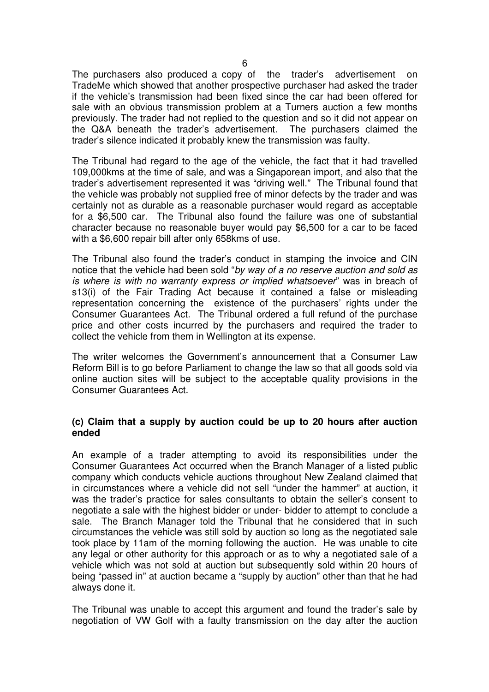The purchasers also produced a copy of the trader's advertisement on TradeMe which showed that another prospective purchaser had asked the trader if the vehicle's transmission had been fixed since the car had been offered for sale with an obvious transmission problem at a Turners auction a few months previously. The trader had not replied to the question and so it did not appear on the Q&A beneath the trader's advertisement. The purchasers claimed the trader's silence indicated it probably knew the transmission was faulty.

 The Tribunal had regard to the age of the vehicle, the fact that it had travelled 109,000kms at the time of sale, and was a Singaporean import, and also that the trader's advertisement represented it was "driving well." The Tribunal found that the vehicle was probably not supplied free of minor defects by the trader and was certainly not as durable as a reasonable purchaser would regard as acceptable for a \$6,500 car. The Tribunal also found the failure was one of substantial character because no reasonable buyer would pay \$6,500 for a car to be faced with a \$6,600 repair bill after only 658kms of use.

 The Tribunal also found the trader's conduct in stamping the invoice and CIN notice that the vehicle had been sold "by way of a no reserve auction and sold as is where is with no warranty express or implied whatsoever" was in breach of s13(i) of the Fair Trading Act because it contained a false or misleading representation concerning the existence of the purchasers' rights under the Consumer Guarantees Act. The Tribunal ordered a full refund of the purchase price and other costs incurred by the purchasers and required the trader to collect the vehicle from them in Wellington at its expense.

 The writer welcomes the Government's announcement that a Consumer Law Reform Bill is to go before Parliament to change the law so that all goods sold via online auction sites will be subject to the acceptable quality provisions in the Consumer Guarantees Act.

## **(c) Claim that a supply by auction could be up to 20 hours after auction ended**

 An example of a trader attempting to avoid its responsibilities under the Consumer Guarantees Act occurred when the Branch Manager of a listed public company which conducts vehicle auctions throughout New Zealand claimed that in circumstances where a vehicle did not sell "under the hammer" at auction, it was the trader's practice for sales consultants to obtain the seller's consent to negotiate a sale with the highest bidder or under- bidder to attempt to conclude a sale. The Branch Manager told the Tribunal that he considered that in such circumstances the vehicle was still sold by auction so long as the negotiated sale took place by 11am of the morning following the auction. He was unable to cite any legal or other authority for this approach or as to why a negotiated sale of a vehicle which was not sold at auction but subsequently sold within 20 hours of being "passed in" at auction became a "supply by auction" other than that he had always done it.

 The Tribunal was unable to accept this argument and found the trader's sale by negotiation of VW Golf with a faulty transmission on the day after the auction